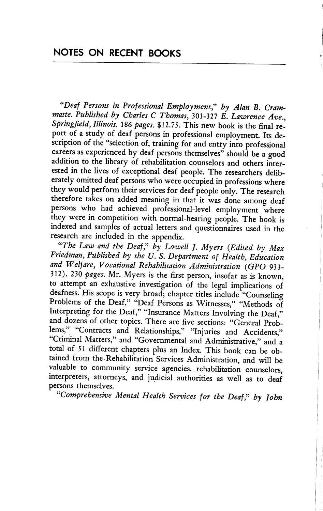"Deaf Persons in Professional Employment," by Alan B. Crammatte. Published by Charles C Thomas, 301-327 E. Lawrence Ave., Springfield, Illinois. 186 pages. \$12.75. This new book is the final re port of a study of deaf persons in professional employment. Its de scription of the "selection of, training for and entry into professional careers as experienced by deaf persons themselves" should be a good addition to the library of rehabilitation counselors and others inter ested in the lives of exceptional deaf people. The researchers delib erately omitted deaf persons who were occupied in professions where they would perform their services for deaf people only. The research therefore takes on added meaning in that it was done among deaf persons who had achieved professional-level employment where they were in competition with normal-hearing people. The book is indexed and samples of actual letters and questionnaires used in the research are included in the appendix.

"The Law and the Deaf," by Lowell J. Myers (Edited by Max Friedman, Published by the U. S. Department of Health, Education and Welfare, Vocational Rehabilitation Administration (GPO 933- 312). 230 pages. Mr. Myers is the first person, insofar as is known, to attempt an exhaustive investigation of the legal implications of deafness. His scope is very broad; chapter titles include "Counseling Problems of the Deaf," "Deaf Persons as Witnesses," "Methods of Interpreting for the Deaf," "Insurance Matters Involving the Deaf," and dozens of other topics. There are five sections: "General Problems," "Contracts and Relationships," "Injuries and Accidents," Criminal Matters," and "Governmental and Administrative," and a total of 51 different chapters plus an Index. This book can be ob tained from the Rehabilitation Services Administration, and will be valuable to community service agencies, rehabilitation counselors, interpreters, attorneys, and judicial authorities as well as to deaf persons themselves.

"Comprehensive Mental Health Services for the Deaf," by John